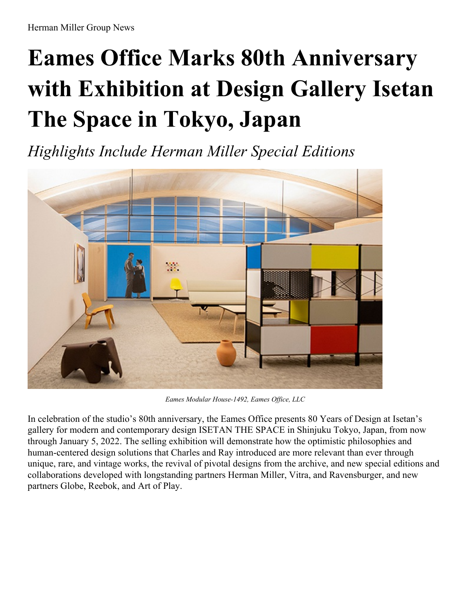## **Eames Office Marks 80th Anniversary with Exhibition at Design Gallery Isetan The Space in Tokyo, Japan**

*Highlights Include Herman Miller Special Editions*



*Eames Modular House-1492, Eames Of ice, LLC*

In celebration of the studio's 80th anniversary, the Eames Office presents 80 Years of Design at Isetan's gallery for modern and contemporary design ISETAN THE SPACE in Shinjuku Tokyo, Japan, from now through January 5, 2022. The selling exhibition will demonstrate how the optimistic philosophies and human-centered design solutions that Charles and Ray introduced are more relevant than ever through unique, rare, and vintage works, the revival of pivotal designs from the archive, and new special editions and collaborations developed with longstanding partners Herman Miller, Vitra, and Ravensburger, and new partners Globe, Reebok, and Art of Play.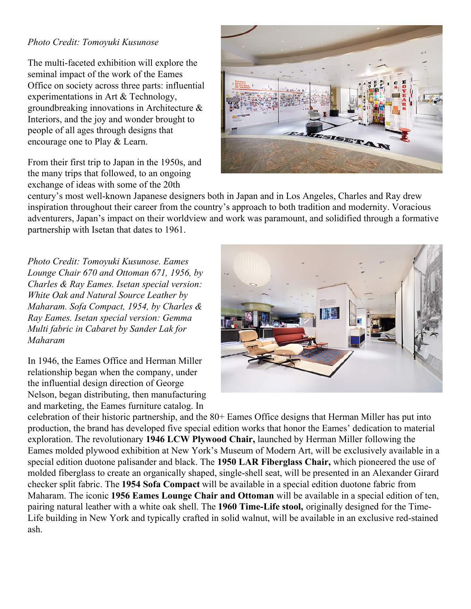## *Photo Credit: Tomoyuki Kusunose*

The multi-faceted exhibition will explore the seminal impact of the work of the Eames Office on society across three parts: influential experimentations in Art & Technology, groundbreaking innovations in Architecture & Interiors, and the joy and wonder brought to people of all ages through designs that encourage one to Play & Learn.

From their first trip to Japan in the 1950s, and the many trips that followed, to an ongoing exchange of ideas with some of the 20th



century's most well-known Japanese designers both in Japan and in Los Angeles, Charles and Ray drew inspiration throughout their career from the country's approach to both tradition and modernity. Voracious adventurers, Japan's impact on their worldview and work was paramount, and solidified through a formative partnership with Isetan that dates to 1961.

*Photo Credit: Tomoyuki Kusunose. Eames Lounge Chair 670 and Ottoman 671, 1956, by Charles & Ray Eames. Isetan special version: White Oak and Natural Source Leather by Maharam. Sofa Compact, 1954, by Charles & Ray Eames. Isetan special version: Gemma Multi fabric in Cabaret by Sander Lak for Maharam*

In 1946, the Eames Office and Herman Miller relationship began when the company, under the influential design direction of George Nelson, began distributing, then manufacturing and marketing, the Eames furniture catalog. In



celebration of their historic partnership, and the 80+ Eames Office designs that Herman Miller has put into production, the brand has developed five special edition works that honor the Eames' dedication to material exploration. The revolutionary **1946 LCW Plywood Chair,** launched by Herman Miller following the Eames molded plywood exhibition at New York's Museum of Modern Art, will be exclusively available in a special edition duotone palisander and black. The **1950 LAR Fiberglass Chair,** which pioneered the use of molded fiberglass to create an organically shaped, single-shell seat, will be presented in an Alexander Girard checker split fabric. The **1954 Sofa Compact** will be available in a special edition duotone fabric from Maharam. The iconic **1956 Eames Lounge Chair and Ottoman** will be available in a special edition of ten, pairing natural leather with a white oak shell. The **1960 Time-Life stool,** originally designed for the Time-Life building in New York and typically crafted in solid walnut, will be available in an exclusive red-stained ash.